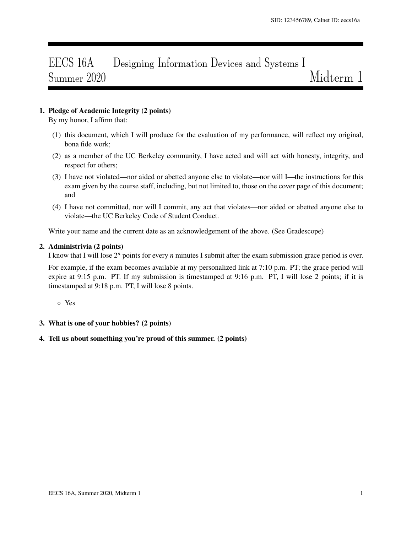# EECS 16A Designing Information Devices and Systems I Summer 2020 Midterm 1

# 1. Pledge of Academic Integrity (2 points)

By my honor, I affirm that:

- (1) this document, which I will produce for the evaluation of my performance, will reflect my original, bona fide work;
- (2) as a member of the UC Berkeley community, I have acted and will act with honesty, integrity, and respect for others;
- (3) I have not violated—nor aided or abetted anyone else to violate—nor will I—the instructions for this exam given by the course staff, including, but not limited to, those on the cover page of this document; and
- (4) I have not committed, nor will I commit, any act that violates—nor aided or abetted anyone else to violate—the UC Berkeley Code of Student Conduct.

Write your name and the current date as an acknowledgement of the above. (See Gradescope)

#### 2. Administrivia (2 points)

I know that I will lose 2*<sup>n</sup>* points for every *n* minutes I submit after the exam submission grace period is over.

For example, if the exam becomes available at my personalized link at 7:10 p.m. PT; the grace period will expire at 9:15 p.m. PT. If my submission is timestamped at 9:16 p.m. PT, I will lose 2 points; if it is timestamped at 9:18 p.m. PT, I will lose 8 points.

◦ Yes

3. What is one of your hobbies? (2 points)

### 4. Tell us about something you're proud of this summer. (2 points)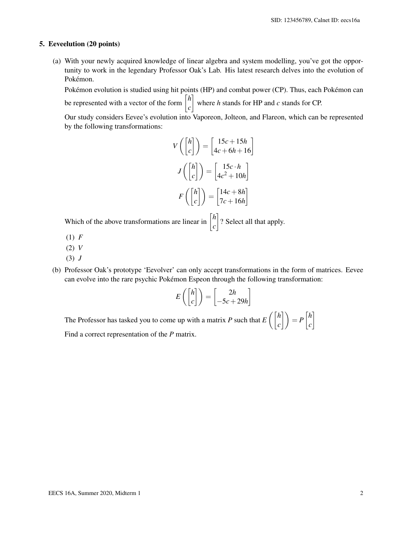#### 5. Eeveelution (20 points)

(a) With your newly acquired knowledge of linear algebra and system modelling, you've got the opportunity to work in the legendary Professor Oak's Lab. His latest research delves into the evolution of Pokémon.

Pokémon evolution is studied using hit points (HP) and combat power (CP). Thus, each Pokémon can be represented with a vector of the form  $\begin{bmatrix} h \\ h \end{bmatrix}$ *c* where *h* stands for HP and *c* stands for CP.

Our study considers Eevee's evolution into Vaporeon, Jolteon, and Flareon, which can be represented by the following transformations:

$$
V\left(\begin{bmatrix}h\\c\end{bmatrix}\right) = \begin{bmatrix}15c + 15h\\4c + 6h + 16\end{bmatrix}
$$

$$
J\left(\begin{bmatrix}h\\c\end{bmatrix}\right) = \begin{bmatrix}15c \cdot h\\4c^2 + 10h\end{bmatrix}
$$

$$
F\left(\begin{bmatrix}h\\c\end{bmatrix}\right) = \begin{bmatrix}14c + 8h\\7c + 16h\end{bmatrix}
$$

Which of the above transformations are linear in  $\begin{bmatrix} h \\ h \end{bmatrix}$ *c* ? Select all that apply.

- (1) *F*
- (2) *V*
- (3) *J*
- (b) Professor Oak's prototype 'Eevolver' can only accept transformations in the form of matrices. Eevee can evolve into the rare psychic Pokémon Espeon through the following transformation:

$$
E\left(\begin{bmatrix}h\\c\end{bmatrix}\right) = \begin{bmatrix}2h\\-5c+29h\end{bmatrix}
$$

The Professor has tasked you to come up with a matrix *P* such that  $E\left(\begin{bmatrix} h & h \\ h & h \end{bmatrix}\right)$  $\begin{bmatrix} h \\ c \end{bmatrix}$   $= P \begin{bmatrix} h \\ c \end{bmatrix}$ *c* 1 Find a correct representation of the *P* matrix.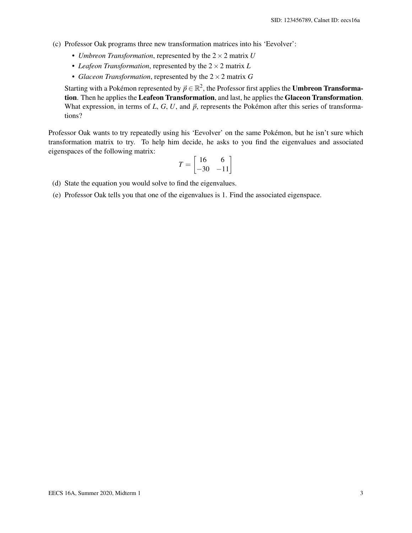- (c) Professor Oak programs three new transformation matrices into his 'Eevolver':
	- *Umbreon Transformation*, represented by the 2×2 matrix *U*
	- *Leafeon Transformation*, represented by the 2×2 matrix *L*
	- *Glaceon Transformation*, represented by the 2×2 matrix *G*

Starting with a Pokémon represented by  $\vec{p} \in \mathbb{R}^2$ , the Professor first applies the **Umbreon Transforma**tion. Then he applies the Leafeon Transformation, and last, he applies the Glaceon Transformation. What expression, in terms of  $L$ ,  $G$ ,  $U$ , and  $\vec{p}$ , represents the Pokémon after this series of transformations?

Professor Oak wants to try repeatedly using his 'Eevolver' on the same Pokémon, but he isn't sure which transformation matrix to try. To help him decide, he asks to you find the eigenvalues and associated eigenspaces of the following matrix:

$$
T = \begin{bmatrix} 16 & 6 \\ -30 & -11 \end{bmatrix}
$$

- (d) State the equation you would solve to find the eigenvalues.
- (e) Professor Oak tells you that one of the eigenvalues is 1. Find the associated eigenspace.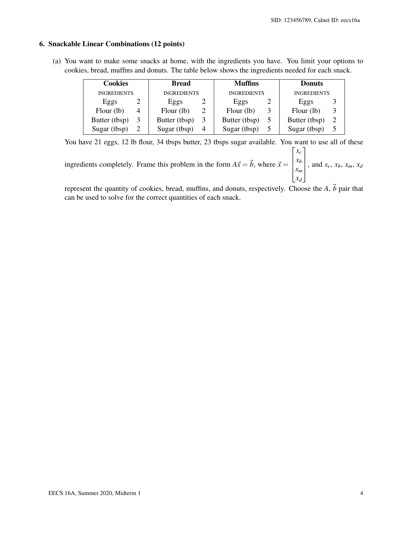# 6. Snackable Linear Combinations (12 points)

(a) You want to make some snacks at home, with the ingredients you have. You limit your options to cookies, bread, muffins and donuts. The table below shows the ingredients needed for each snack.

| <b>Cookies</b>     |  | <b>Bread</b>       |   | <b>Muffins</b>     | <b>Donuts</b>      |  |
|--------------------|--|--------------------|---|--------------------|--------------------|--|
| <b>INGREDIENTS</b> |  | <b>INGREDIENTS</b> |   | <b>INGREDIENTS</b> | <b>INGREDIENTS</b> |  |
| Eggs               |  | Eggs               |   | Eggs               | Eggs               |  |
| Flour (lb)         |  | Flour (lb)         |   | Flour (lb)         | Flour (lb)         |  |
| Butter (tbsp)      |  | Butter (tbsp)      |   | Butter (tbsp)      | Butter (tbsp)      |  |
| Sugar (tbsp)       |  | Sugar (tbsp)       | 4 | Sugar (tbsp)       | Sugar (tbsp)       |  |

You have 21 eggs, 12 lb flour, 34 tbsps butter, 23 tbsps sugar available. You want to use all of these ingredients completely. Frame this problem in the form  $A\vec{x} = \vec{b}$ , where  $\vec{x} = \vec{b}$  $\sqrt{ }$  $\left| \right|$ *xc xb xm xd* 1  $\Bigg\}$ , and  $x_c$ ,  $x_b$ ,  $x_m$ ,  $x_d$ 

represent the quantity of cookies, bread, muffins, and donuts, respectively. Choose the  $A$ ,  $\vec{b}$  pair that can be used to solve for the correct quantities of each snack.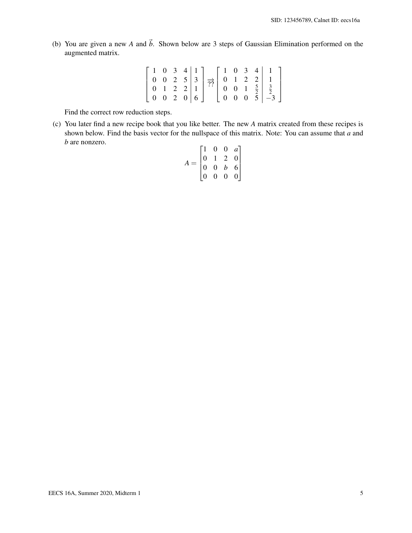(b) You are given a new *A* and  $\vec{b}$ . Shown below are 3 steps of Gaussian Elimination performed on the augmented matrix.

|  |  | $1 \t0 \t3 \t4 \t1$                     | $\begin{bmatrix} 1 & 0 & 3 & 4 \end{bmatrix}$ |  |                                          |
|--|--|-----------------------------------------|-----------------------------------------------|--|------------------------------------------|
|  |  |                                         |                                               |  |                                          |
|  |  |                                         |                                               |  |                                          |
|  |  | $0 \quad 0 \quad 2 \quad 0 \mid 6 \mid$ |                                               |  | $0 \quad 0 \quad 0 \quad 5 \mid -3 \mid$ |

Find the correct row reduction steps.

(c) You later find a new recipe book that you like better. The new *A* matrix created from these recipes is shown below. Find the basis vector for the nullspace of this matrix. Note: You can assume that *a* and *b* are nonzero.

|          | $\overline{1}$                         | $\boldsymbol{0}$ | $\overline{0}$ |                                        |  |
|----------|----------------------------------------|------------------|----------------|----------------------------------------|--|
|          | $\begin{bmatrix} 0 \\ 0 \end{bmatrix}$ |                  | $\overline{2}$ | $\begin{bmatrix} a \\ 0 \end{bmatrix}$ |  |
| $\equiv$ |                                        | $\overline{0}$   | $\bar{b}$      | $\begin{bmatrix} 6 \\ 0 \end{bmatrix}$ |  |
|          | $\overline{0}$                         | $\overline{0}$   | $\overline{0}$ |                                        |  |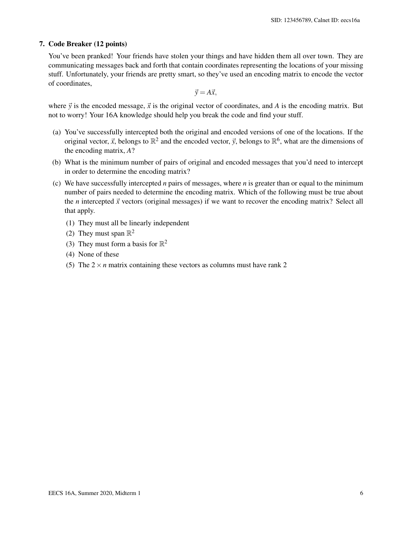## 7. Code Breaker (12 points)

You've been pranked! Your friends have stolen your things and have hidden them all over town. They are communicating messages back and forth that contain coordinates representing the locations of your missing stuff. Unfortunately, your friends are pretty smart, so they've used an encoding matrix to encode the vector of coordinates,

 $\vec{y} = A\vec{x}$ ,

where  $\vec{y}$  is the encoded message,  $\vec{x}$  is the original vector of coordinates, and *A* is the encoding matrix. But not to worry! Your 16A knowledge should help you break the code and find your stuff.

- (a) You've successfully intercepted both the original and encoded versions of one of the locations. If the original vector,  $\vec{x}$ , belongs to  $\mathbb{R}^2$  and the encoded vector,  $\vec{y}$ , belongs to  $\mathbb{R}^6$ , what are the dimensions of the encoding matrix, *A*?
- (b) What is the minimum number of pairs of original and encoded messages that you'd need to intercept in order to determine the encoding matrix?
- (c) We have successfully intercepted *n* pairs of messages, where *n* is greater than or equal to the minimum number of pairs needed to determine the encoding matrix. Which of the following must be true about the *n* intercepted  $\vec{x}$  vectors (original messages) if we want to recover the encoding matrix? Select all that apply.
	- (1) They must all be linearly independent
	- (2) They must span  $\mathbb{R}^2$
	- (3) They must form a basis for  $\mathbb{R}^2$
	- (4) None of these
	- (5) The  $2 \times n$  matrix containing these vectors as columns must have rank 2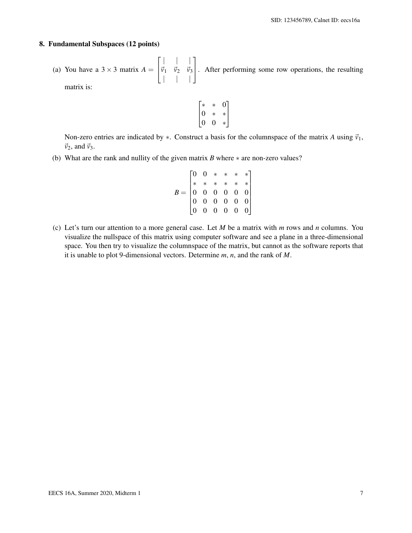#### 8. Fundamental Subspaces (12 points)

(a) You have a  $3 \times 3$  matrix  $A =$  $\sqrt{ }$  $\overline{1}$ | | |  $\vec{v}_1$   $\vec{v}_2$   $\vec{v}_3$ | | | 1 . After performing some row operations, the resulting matrix is:

$$
\begin{bmatrix} * & * & 0 \\ 0 & * & * \\ 0 & 0 & * \end{bmatrix}
$$

Non-zero entries are indicated by  $*$ . Construct a basis for the columnspace of the matrix *A* using  $\vec{v}_1$ ,  $\vec{v}_2$ , and  $\vec{v}_3$ .

(b) What are the rank and nullity of the given matrix *B* where ∗ are non-zero values?

$$
B = \begin{bmatrix} 0 & 0 & * & * & * & * \\ * & * & * & * & * & * \\ 0 & 0 & 0 & 0 & 0 & 0 \\ 0 & 0 & 0 & 0 & 0 & 0 \\ 0 & 0 & 0 & 0 & 0 & 0 \end{bmatrix}
$$

(c) Let's turn our attention to a more general case. Let *M* be a matrix with *m* rows and *n* columns. You visualize the nullspace of this matrix using computer software and see a plane in a three-dimensional space. You then try to visualize the columnspace of the matrix, but cannot as the software reports that it is unable to plot 9-dimensional vectors. Determine *m*, *n*, and the rank of *M*.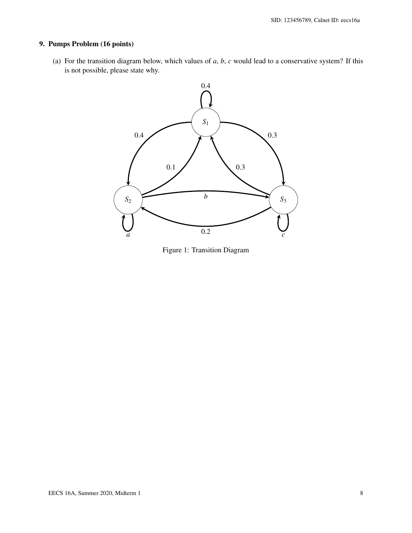# 9. Pumps Problem (16 points)

(a) For the transition diagram below, which values of *a*, *b*, *c* would lead to a conservative system? If this is not possible, please state why.



Figure 1: Transition Diagram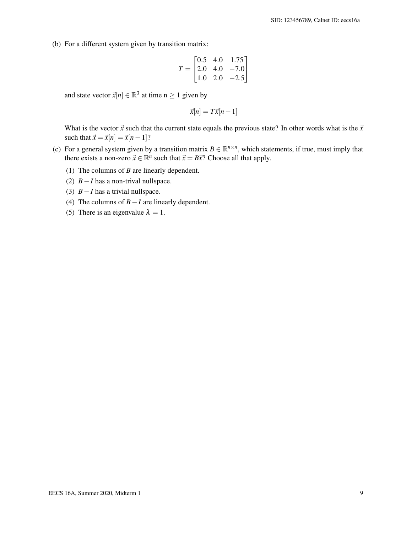(b) For a different system given by transition matrix:

$$
T = \begin{bmatrix} 0.5 & 4.0 & 1.75 \\ 2.0 & 4.0 & -7.0 \\ 1.0 & 2.0 & -2.5 \end{bmatrix}
$$

and state vector  $\vec{x}[n] \in \mathbb{R}^3$  at time  $n \geq 1$  given by

$$
\vec{x}[n] = T\vec{x}[n-1]
$$

What is the vector  $\vec{x}$  such that the current state equals the previous state? In other words what is the  $\vec{x}$ such that  $\vec{x} = \vec{x}[n] = \vec{x}[n-1]$ ?

- (c) For a general system given by a transition matrix  $B \in \mathbb{R}^{n \times n}$ , which statements, if true, must imply that there exists a non-zero  $\vec{x} \in \mathbb{R}^n$  such that  $\vec{x} = B\vec{x}$ ? Choose all that apply.
	- (1) The columns of *B* are linearly dependent.
	- (2) *B*−*I* has a non-trival nullspace.
	- (3) *B*−*I* has a trivial nullspace.
	- (4) The columns of *B*−*I* are linearly dependent.
	- (5) There is an eigenvalue  $\lambda = 1$ .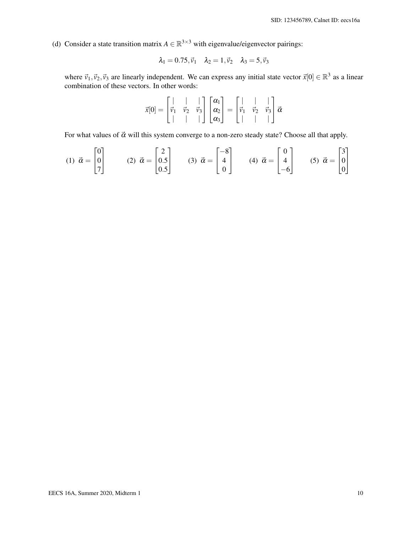(d) Consider a state transition matrix  $A \in \mathbb{R}^{3 \times 3}$  with eigenvalue/eigenvector pairings:

$$
\lambda_1=0.75, \vec{\nu}_1 \quad \lambda_2=1, \vec{\nu}_2 \quad \lambda_3=5, \vec{\nu}_3
$$

where  $\vec{v}_1, \vec{v}_2, \vec{v}_3$  are linearly independent. We can express any initial state vector  $\vec{x}[0] \in \mathbb{R}^3$  as a linear combination of these vectors. In other words:

$$
\vec{x}[0] = \begin{bmatrix} | & | & | \\ \vec{v}_1 & \vec{v}_2 & \vec{v}_3 \\ | & | & | & | \end{bmatrix} \begin{bmatrix} \alpha_1 \\ \alpha_2 \\ \alpha_3 \end{bmatrix} = \begin{bmatrix} | & | & | \\ \vec{v}_1 & \vec{v}_2 & \vec{v}_3 \\ | & | & | & | \end{bmatrix} \vec{\alpha}
$$

For what values of  $\vec{\alpha}$  will this system converge to a non-zero steady state? Choose all that apply.

$$
(1) \quad \vec{\alpha} = \begin{bmatrix} 0 \\ 0 \\ 7 \end{bmatrix} \qquad (2) \quad \vec{\alpha} = \begin{bmatrix} 2 \\ 0.5 \\ 0.5 \end{bmatrix} \qquad (3) \quad \vec{\alpha} = \begin{bmatrix} -8 \\ 4 \\ 0 \end{bmatrix} \qquad (4) \quad \vec{\alpha} = \begin{bmatrix} 0 \\ 4 \\ -6 \end{bmatrix} \qquad (5) \quad \vec{\alpha} = \begin{bmatrix} 3 \\ 0 \\ 0 \end{bmatrix}
$$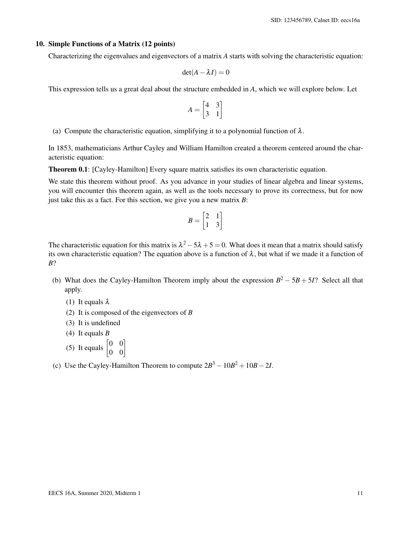#### 10. Simple Functions of a Matrix (12 points)

Characterizing the eigenvalues and eigenvectors of a matrix *A* starts with solving the characteristic equation:

$$
\det(A - \lambda I) = 0
$$

This expression tells us a great deal about the structure embedded in *A*, which we will explore below. Let

$$
A = \begin{bmatrix} 4 & 3 \\ 3 & 1 \end{bmatrix}
$$

(a) Compute the characteristic equation, simplifying it to a polynomial function of  $\lambda$ .

In 1853, mathematicians Arthur Cayley and William Hamilton created a theorem centered around the characteristic equation:

Theorem 0.1: [Cayley-Hamilton] Every square matrix satisfies its own characteristic equation.

We state this theorem without proof. As you advance in your studies of linear algebra and linear systems, you will encounter this theorem again, as well as the tools necessary to prove its correctness, but for now just take this as a fact. For this section, we give you a new matrix *B*:

$$
B = \begin{bmatrix} 2 & 1 \\ 1 & 3 \end{bmatrix}
$$

The characteristic equation for this matrix is  $\lambda^2 - 5\lambda + 5 = 0$ . What does it mean that a matrix should satisfy its own characteristic equation? The equation above is a function of  $\lambda$ , but what if we made it a function of *B*?

- (b) What does the Cayley-Hamilton Theorem imply about the expression  $B^2 5B + 5I$ ? Select all that apply.
	- (1) It equals  $\lambda$
	- (2) It is composed of the eigenvectors of *B*
	- (3) It is undefined
	- (4) It equals *B*
	- (5) It equals  $\begin{bmatrix} 0 & 0 \\ 0 & 0 \end{bmatrix}$
- (c) Use the Cayley-Hamilton Theorem to compute  $2B^3 10B^2 + 10B 2I$ .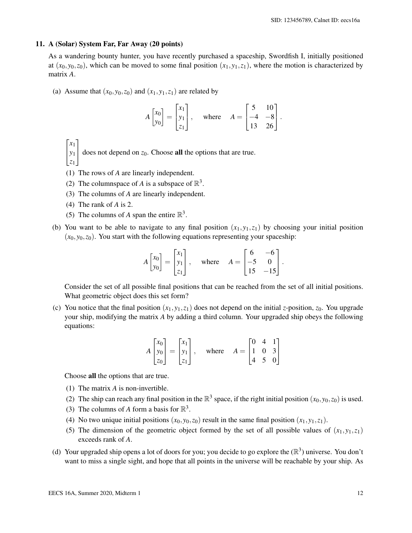#### 11. A (Solar) System Far, Far Away (20 points)

As a wandering bounty hunter, you have recently purchased a spaceship, Swordfish I, initially positioned at  $(x_0, y_0, z_0)$ , which can be moved to some final position  $(x_1, y_1, z_1)$ , where the motion is characterized by matrix *A*.

(a) Assume that  $(x_0, y_0, z_0)$  and  $(x_1, y_1, z_1)$  are related by

$$
A\begin{bmatrix} x_0 \\ y_0 \end{bmatrix} = \begin{bmatrix} x_1 \\ y_1 \\ z_1 \end{bmatrix}, \text{ where } A = \begin{bmatrix} 5 & 10 \\ -4 & -8 \\ 13 & 26 \end{bmatrix}.
$$

 $\sqrt{ }$ *x*1 1

- *y*1 does not depend on *<sup>z</sup>*0. Choose all the options that are true.
- $\mathbf{r}$ *z*1
- (1) The rows of *A* are linearly independent.
- (2) The columnspace of *A* is a subspace of  $\mathbb{R}^3$ .
- (3) The columns of *A* are linearly independent.
- (4) The rank of *A* is 2.
- (5) The columns of *A* span the entire  $\mathbb{R}^3$ .
- (b) You want to be able to navigate to any final position  $(x_1, y_1, z_1)$  by choosing your initial position  $(x_0, y_0, z_0)$ . You start with the following equations representing your spaceship:

$$
A\begin{bmatrix} x_0 \\ y_0 \end{bmatrix} = \begin{bmatrix} x_1 \\ y_1 \\ z_1 \end{bmatrix}, \text{ where } A = \begin{bmatrix} 6 & -6 \\ -5 & 0 \\ 15 & -15 \end{bmatrix}.
$$

Consider the set of all possible final positions that can be reached from the set of all initial positions. What geometric object does this set form?

(c) You notice that the final position  $(x_1, y_1, z_1)$  does not depend on the initial *z*-position,  $z_0$ . You upgrade your ship, modifying the matrix *A* by adding a third column. Your upgraded ship obeys the following equations:

$$
A\begin{bmatrix} x_0 \\ y_0 \\ z_0 \end{bmatrix} = \begin{bmatrix} x_1 \\ y_1 \\ z_1 \end{bmatrix}, \text{ where } A = \begin{bmatrix} 0 & 4 & 1 \\ 1 & 0 & 3 \\ 4 & 5 & 0 \end{bmatrix}
$$

Choose all the options that are true.

- (1) The matrix *A* is non-invertible.
- (2) The ship can reach any final position in the  $\mathbb{R}^3$  space, if the right initial position  $(x_0, y_0, z_0)$  is used.
- (3) The columns of *A* form a basis for  $\mathbb{R}^3$ .
- (4) No two unique initial positions  $(x_0, y_0, z_0)$  result in the same final position  $(x_1, y_1, z_1)$ .
- (5) The dimension of the geometric object formed by the set of all possible values of  $(x_1, y_1, z_1)$ exceeds rank of *A*.
- (d) Your upgraded ship opens a lot of doors for you; you decide to go explore the  $(\mathbb{R}^3)$  universe. You don't want to miss a single sight, and hope that all points in the universe will be reachable by your ship. As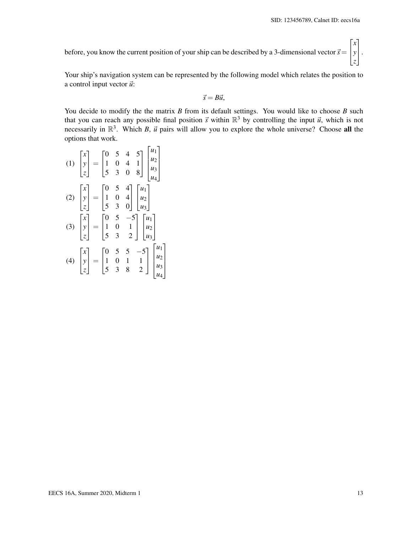$\sqrt{ }$ 

*x*

1

before, you know the current position of your ship can be described by a 3-dimensional vector  $\vec{s} =$  $\mathbf{r}$ *y z*  $\vert \cdot$ 

Your ship's navigation system can be represented by the following model which relates the position to a control input vector  $\vec{u}$ :

$$
\vec{s}=B\vec{u},
$$

You decide to modify the the matrix *B* from its default settings. You would like to choose *B* such that you can reach any possible final position  $\vec{s}$  within  $\mathbb{R}^3$  by controlling the input  $\vec{u}$ , which is not necessarily in  $\mathbb{R}^3$ . Which *B*,  $\vec{u}$  pairs will allow you to explore the whole universe? Choose all the options that work.

(1)  $\sqrt{ }$  $\mathbf{r}$ *x y z* ן:  $\vert$  =  $\sqrt{ }$  $\overline{1}$ 0 5 4 5 1 0 4 1 5 3 0 8 1  $\overline{1}$  $\sqrt{ }$  $\Big\}$ *u*1 *u*2 *u*3 *u*4 1  $\overline{\phantom{a}}$ (2)  $\sqrt{ }$  $\mathbf{r}$ *x y z* 1  $\vert$  =  $\sqrt{ }$  $\overline{1}$ 0 5 4 1 0 4 5 3 0 1  $\mathbb{I}$  $\sqrt{ }$  $\overline{1}$ *u*1  $u_2$ *u*3 1  $\vert$ (3)  $\sqrt{ }$  $\|$ *x y z* 1  $\vert$  =  $\sqrt{ }$  $\overline{1}$  $0 \quad 5 \quad -5$ 1 0 1 5 3 2 1  $\overline{1}$  $\sqrt{ }$  $\overline{1}$ *u*1 *u*2 *u*3 1  $\overline{1}$ (4)  $\sqrt{ }$  $\mathbf{r}$ *x y z* ן:  $\vert$  =  $\sqrt{ }$  $\overline{1}$  $0 \quad 5 \quad 5 \quad -5$ 1 0 1 1 5 3 8 2 1  $\overline{1}$  $\sqrt{ }$  *u*1 *u*2 *u*3 *u*4 1  $\begin{matrix} \phantom{-} \end{matrix}$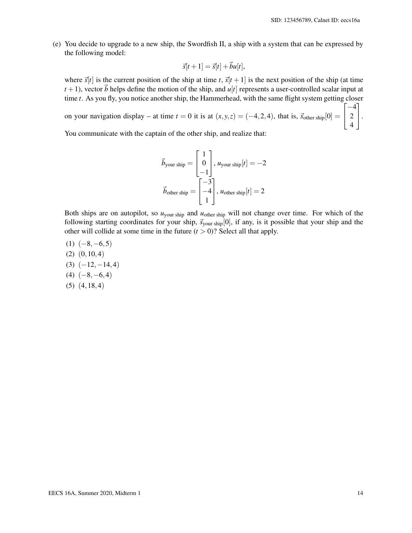(e) You decide to upgrade to a new ship, the Swordfish II, a ship with a system that can be expressed by the following model:

$$
\vec{s}[t+1] = \vec{s}[t] + \vec{b}u[t],
$$

where  $\vec{s}[t]$  is the current position of the ship at time *t*,  $\vec{s}[t+1]$  is the next position of the ship (at time  $t + 1$ ), vector  $\vec{b}$  helps define the motion of the ship, and  $u[t]$  represents a user-controlled scalar input at time *t*. As you fly, you notice another ship, the Hammerhead, with the same flight system getting closer

on your navigation display – at time  $t = 0$  it is at  $(x, y, z) = (-4, 2, 4)$ , that is,  $\vec{s}_{other \text{ ship}}[0] =$  $\sqrt{ }$  $\overline{1}$ −4 2 4 1  $\vert \cdot$ 

You communicate with the captain of the other ship, and realize that:

$$
\vec{b}_{\text{your ship}} = \begin{bmatrix} 1 \\ 0 \\ -1 \end{bmatrix}, u_{\text{your ship}}[t] = -2
$$

$$
\vec{b}_{\text{other ship}} = \begin{bmatrix} -3 \\ -4 \\ 1 \end{bmatrix}, u_{\text{other ship}}[t] = 2
$$

Both ships are on autopilot, so  $u_{\text{your ship}}$  and  $u_{\text{other ship}}$  will not change over time. For which of the following starting coordinates for your ship,  $\vec{s}$ <sub>your ship</sub>[0], if any, is it possible that your ship and the other will collide at some time in the future  $(t > 0)$ ? Select all that apply.

 $(1)$   $(-8, -6, 5)$ (2) (0,10,4)  $(3)$   $(-12,-14,4)$  $(4)$   $(-8, -6, 4)$ (5) (4,18,4)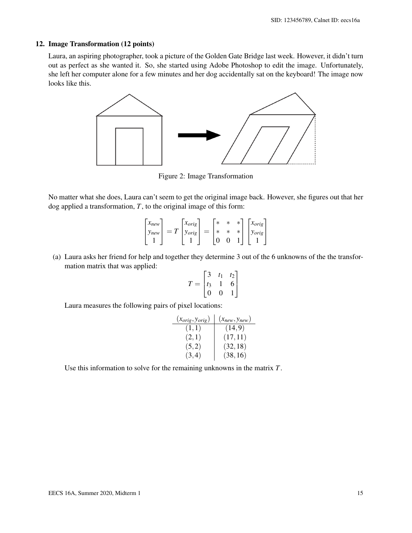# 12. Image Transformation (12 points)

Laura, an aspiring photographer, took a picture of the Golden Gate Bridge last week. However, it didn't turn out as perfect as she wanted it. So, she started using Adobe Photoshop to edit the image. Unfortunately, she left her computer alone for a few minutes and her dog accidentally sat on the keyboard! The image now looks like this.



Figure 2: Image Transformation

No matter what she does, Laura can't seem to get the original image back. However, she figures out that her dog applied a transformation, *T*, to the original image of this form:

| $x_{new}$ |       | $\chi_{orig}$ | $\ast$ | $\ast$ | $x_{orig}$    |
|-----------|-------|---------------|--------|--------|---------------|
| $y_{new}$ | $= T$ | 'orig         |        |        | <b>Y</b> orig |
|           |       |               |        |        |               |

(a) Laura asks her friend for help and together they determine 3 out of the 6 unknowns of the the transformation matrix that was applied:

$$
T = \begin{bmatrix} 3 & t_1 & t_2 \\ t_3 & 1 & 6 \\ 0 & 0 & 1 \end{bmatrix}
$$

Laura measures the following pairs of pixel locations:

| $(x_{orig}, y_{orig})$ | $(x_{new}, y_{new})$ |
|------------------------|----------------------|
| (1,1)                  | (14, 9)              |
| (2,1)                  | (17, 11)             |
| (5,2)                  | (32, 18)             |
| (3,4)                  | (38, 16)             |

Use this information to solve for the remaining unknowns in the matrix *T*.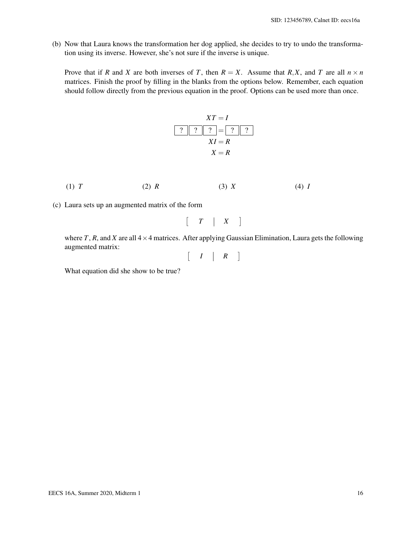(b) Now that Laura knows the transformation her dog applied, she decides to try to undo the transformation using its inverse. However, she's not sure if the inverse is unique.

Prove that if *R* and *X* are both inverses of *T*, then  $R = X$ . Assume that *R*,*X*, and *T* are all  $n \times n$ matrices. Finish the proof by filling in the blanks from the options below. Remember, each equation should follow directly from the previous equation in the proof. Options can be used more than once.

$$
XT = I
$$
  
\n? | ? | ? = ? | ?  
\n
$$
XI = R
$$
  
\n
$$
X = R
$$

- (1) *T* (2) *R* (3) *X* (4) *I*
- (c) Laura sets up an augmented matrix of the form

$$
\left[\begin{array}{c|c}T & X\end{array}\right]
$$

where *T*, *R*, and *X* are all  $4 \times 4$  matrices. After applying Gaussian Elimination, Laura gets the following augmented matrix:

$$
\left[\begin{array}{c|c} I & R \end{array}\right]
$$

What equation did she show to be true?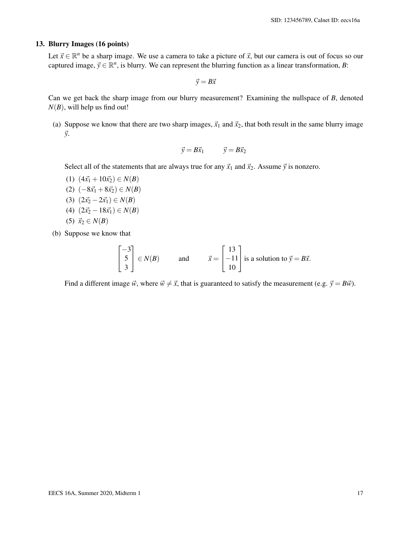# 13. Blurry Images (16 points)

Let  $\vec{x} \in \mathbb{R}^n$  be a sharp image. We use a camera to take a picture of  $\vec{x}$ , but our camera is out of focus so our captured image,  $\vec{y} \in \mathbb{R}^n$ , is blurry. We can represent the blurring function as a linear transformation, *B*:

 $\vec{v} = B\vec{x}$ 

Can we get back the sharp image from our blurry measurement? Examining the nullspace of *B*, denoted  $N(B)$ , will help us find out!

(a) Suppose we know that there are two sharp images,  $\vec{x}_1$  and  $\vec{x}_2$ , that both result in the same blurry image ~*y*.

$$
\vec{y} = B\vec{x}_1 \qquad \vec{y} = B\vec{x}_2
$$

Select all of the statements that are always true for any  $\vec{x}_1$  and  $\vec{x}_2$ . Assume  $\vec{y}$  is nonzero.

- $(1)$   $(4\vec{x_1} + 10\vec{x_2}) \in N(B)$  $(2)$   $(-8\vec{x_1} + 8\vec{x_2})$  ∈  $N(B)$ (3)  $(2\vec{x_2} - 2\vec{x_1}) \in N(B)$  $(4)$   $(2\vec{x_2} - 18\vec{x_1}) \in N(B)$ (5)  $\vec{x}_2 \in N(B)$
- (b) Suppose we know that

$$
\begin{bmatrix} -3 \\ 5 \\ 3 \end{bmatrix} \in N(B) \quad \text{and} \quad \vec{x} = \begin{bmatrix} 13 \\ -11 \\ 10 \end{bmatrix} \text{ is a solution to } \vec{y} = B\vec{x}.
$$

Find a different image  $\vec{w}$ , where  $\vec{w} \neq \vec{x}$ , that is guaranteed to satisfy the measurement (e.g.  $\vec{y} = B\vec{w}$ ).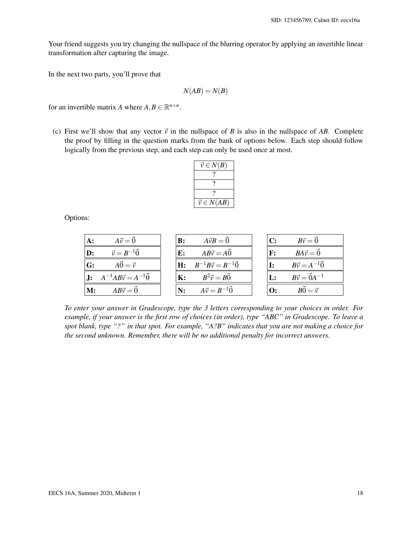Your friend suggests you try changing the nullspace of the blurring operator by applying an invertible linear transformation after capturing the image.

In the next two parts, you'll prove that

$$
N(AB) = N(B)
$$

for an invertible matrix *A* where  $A, B \in \mathbb{R}^{n \times n}$ .

(c) First we'll show that any vector  $\vec{v}$  in the nullspace of *B* is also in the nullspace of *AB*. Complete the proof by filling in the question marks from the bank of options below. Each step should follow logically from the previous step, and each step can only be used once at most.

| $\vec{v} \in N(B)$  |
|---------------------|
|                     |
|                     |
|                     |
| $\vec{v} \in N(AB)$ |

Options:

| $A: A\vec{v} = \vec{0}$                     | $\begin{bmatrix} \mathbf{B} : \mathbf{A} \vec{v} B = \vec{0} \end{bmatrix}$ | $B\vec{v}=\vec{0}$<br> C:                    |
|---------------------------------------------|-----------------------------------------------------------------------------|----------------------------------------------|
| $\vec{v} = B^{-1}\vec{0}$<br>$\mathbf{D}$ : | $\mathbf{E}$ : $AB\vec{v} = A\vec{0}$                                       | $BA\vec{v} = \vec{0}$<br>$\mathbf{F}$ :      |
| $A\vec{0}=\vec{v}$<br>G:                    | $H: B^{-1}B\vec{v} = B^{-1}\vec{0}$                                         | $B\vec{v} = A^{-1}\vec{0}$                   |
| <b>J:</b> $A^{-1}AB\vec{v} = A^{-1}\vec{0}$ | $\mathbf{K}$ : $B^2 \vec{v} = B \vec{0}$                                    | $B\vec{v} = \vec{0}A^{-1}$<br>$\mathbf{L}$ : |
| $\mathbf{M:} \qquad AB\vec{v} = \vec{0}$    | $\mathbf{N:}$ $A\vec{v} = B^{-1}\vec{0}$                                    | <b>O:</b> $B\vec{0} = \vec{v}$               |

*To enter your answer in Gradescope, type the 3 letters corresponding to your choices in order. For example, if your answer is the first row of choices (in order), type "ABC" in Gradescope. To leave a spot blank, type "?" in that spot. For example, "A?B" indicates that you are not making a choice for the second unknown. Remember, there will be no additional penalty for incorrect answers.*